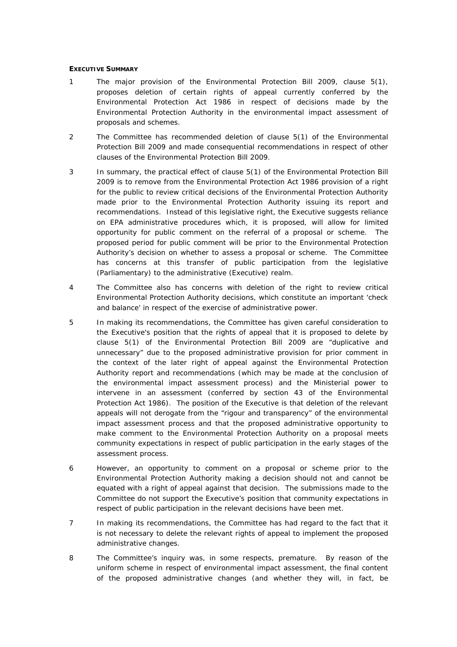# **EXECUTIVE SUMMARY**

- 1 The major provision of the Environmental Protection Bill 2009, clause 5(1), proposes deletion of certain rights of appeal currently conferred by the *Environmental Protection Act 1986* in respect of decisions made by the Environmental Protection Authority in the environmental impact assessment of proposals and schemes.
- *2* The Committee has recommended deletion of clause 5(1) of the Environmental Protection Bill 2009 and made consequential recommendations in respect of other clauses of the Environmental Protection Bill 2009.
- 3 In summary, the practical effect of clause 5(1) of the Environmental Protection Bill 2009 is to remove from the *Environmental Protection Act 1986* provision of a right for the public to review critical decisions of the Environmental Protection Authority made prior to the Environmental Protection Authority issuing its report and recommendations. Instead of this legislative right, the Executive suggests reliance on EPA administrative procedures which, it is proposed, will allow for limited opportunity for public comment on the referral of a proposal or scheme. The proposed period for public comment will be prior to the Environmental Protection Authority's decision on whether to assess a proposal or scheme. The Committee has concerns at this transfer of public participation from the legislative (Parliamentary) to the administrative (Executive) realm.
- 4 The Committee also has concerns with deletion of the right to review critical Environmental Protection Authority decisions, which constitute an important 'check and balance' in respect of the exercise of administrative power.
- 5 In making its recommendations, the Committee has given careful consideration to the Executive's position that the rights of appeal that it is proposed to delete by clause 5(1) of the Environmental Protection Bill 2009 are "*duplicative and unnecessary*" due to the proposed administrative provision for prior comment in the context of the later right of appeal against the Environmental Protection Authority report and recommendations (which may be made at the conclusion of the environmental impact assessment process) and the Ministerial power to intervene in an assessment (conferred by section 43 of the *Environmental Protection Act 1986*). The position of the Executive is that deletion of the relevant appeals will not derogate from the "*rigour and transparency*" of the environmental impact assessment process and that the proposed administrative opportunity to make comment to the Environmental Protection Authority on a proposal meets community expectations in respect of public participation in the early stages of the assessment process.
- 6 However, an opportunity to comment on a proposal or scheme prior to the Environmental Protection Authority making a decision should not and cannot be equated with a right of appeal against that decision. The submissions made to the Committee do not support the Executive's position that community expectations in respect of public participation in the relevant decisions have been met.
- 7 In making its recommendations, the Committee has had regard to the fact that it is not necessary to delete the relevant rights of appeal to implement the proposed administrative changes.
- 8 The Committee's inquiry was, in some respects, premature. By reason of the uniform scheme in respect of environmental impact assessment, the final content of the proposed administrative changes (and whether they will, in fact, be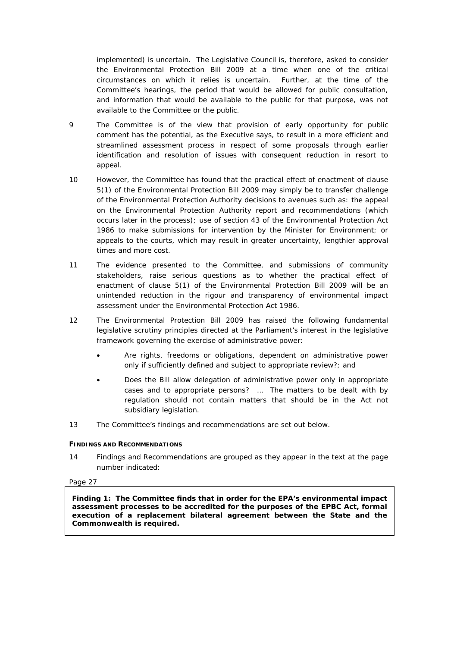implemented) is uncertain. The Legislative Council is, therefore, asked to consider the Environmental Protection Bill 2009 at a time when one of the critical circumstances on which it relies is uncertain. Further, at the time of the Committee's hearings, the period that would be allowed for public consultation, and information that would be available to the public for that purpose, was not available to the Committee or the public.

- 9 The Committee is of the view that provision of early opportunity for public comment has the potential, as the Executive says, to result in a more efficient and streamlined assessment process in respect of some proposals through earlier identification and resolution of issues with consequent reduction in resort to appeal.
- 10 However, the Committee has found that the practical effect of enactment of clause 5(1) of the Environmental Protection Bill 2009 may simply be to transfer challenge of the Environmental Protection Authority decisions to avenues such as: the appeal on the Environmental Protection Authority report and recommendations (which occurs later in the process); use of section 43 of the *Environmental Protection Act 1986* to make submissions for intervention by the Minister for Environment; or appeals to the courts, which may result in greater uncertainty, lengthier approval times and more cost.
- 11 The evidence presented to the Committee, and submissions of community stakeholders, raise serious questions as to whether the practical effect of enactment of clause 5(1) of the Environmental Protection Bill 2009 will be an unintended reduction in the rigour and transparency of environmental impact assessment under the *Environmental Protection Act 1986*.
- 12 The Environmental Protection Bill 2009 has raised the following fundamental legislative scrutiny principles directed at the Parliament's interest in the legislative framework governing the exercise of administrative power:
	- *Are rights, freedoms or obligations, dependent on administrative power only if sufficiently defined and subject to appropriate review?*; and
	- *Does the Bill allow delegation of administrative power only in appropriate cases and to appropriate persons? … The matters to be dealt with by regulation should not contain matters that should be in the Act not subsidiary legislation*.
- 13 The Committee's findings and recommendations are set out below.

# **FINDINGS AND RECOMMENDATIONS**

14 Findings and Recommendations are grouped as they appear in the text at the page number indicated:

# Page 27

**Finding 1: The Committee finds that in order for the EPA's environmental impact assessment processes to be accredited for the purposes of the EPBC Act, formal execution of a replacement bilateral agreement between the State and the Commonwealth is required.**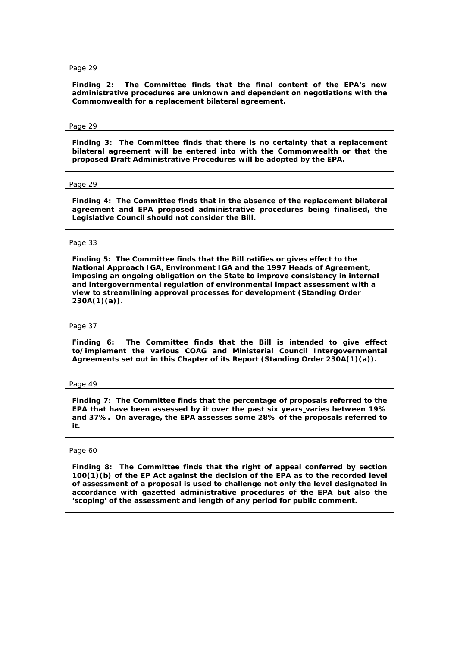**Finding 2: The Committee finds that the final content of the EPA's new administrative procedures are unknown and dependent on negotiations with the Commonwealth for a replacement bilateral agreement.** 

### Page 29

**Finding 3: The Committee finds that there is no certainty that a replacement bilateral agreement will be entered into with the Commonwealth or that the proposed Draft Administrative Procedures will be adopted by the EPA.** 

### Page 29

**Finding 4: The Committee finds that in the absence of the replacement bilateral agreement and EPA proposed administrative procedures being finalised, the Legislative Council should not consider the Bill.** 

### Page 33

**Finding 5: The Committee finds that the Bill ratifies or gives effect to the National Approach IGA***,* **Environment IGA and the 1997 Heads of Agreement, imposing an ongoing obligation on the State to improve consistency in internal and intergovernmental regulation of environmental impact assessment with a view to streamlining approval processes for development (Standing Order 230A(1)(a)).** 

#### Page 37

**Finding 6: The Committee finds that the Bill is intended to give effect to/implement the various COAG and Ministerial Council Intergovernmental Agreements set out in this Chapter of its Report (Standing Order 230A(1)(a)).** 

# Page 49

**Finding 7: The Committee finds that the percentage of proposals referred to the EPA that have been assessed by it over the past six years varies between 19% and 37%. On average, the EPA assesses some 28% of the proposals referred to it.** 

# Page 60

**Finding 8: The Committee finds that the right of appeal conferred by section 100(1)(b) of the EP Act against the decision of the EPA as to the recorded level of assessment of a proposal is used to challenge not only the level designated in accordance with gazetted administrative procedures of the EPA but also the 'scoping' of the assessment and length of any period for public comment.**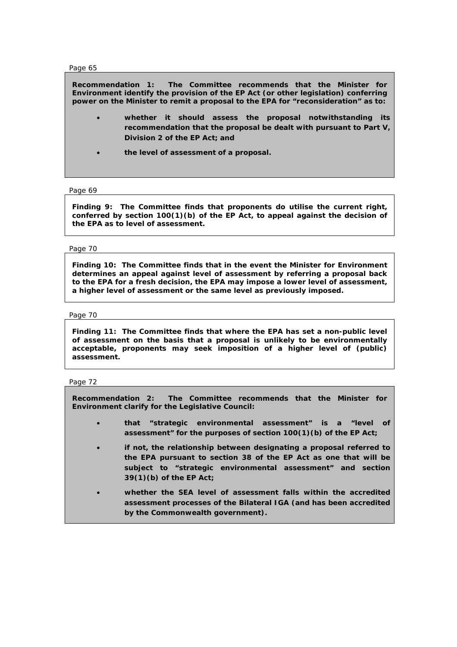**Recommendation 1: The Committee recommends that the Minister for Environment identify the provision of the EP Act (or other legislation) conferring power on the Minister to remit a proposal to the EPA for "***reconsideration***" as to:** 

- **whether it should assess the proposal notwithstanding its recommendation that the proposal be dealt with pursuant to Part V, Division 2 of the EP Act; and**
- **the level of assessment of a proposal.**

### Page 69

**Finding 9: The Committee finds that proponents do utilise the current right, conferred by section 100(1)(b) of the EP Act, to appeal against the decision of the EPA as to level of assessment.** 

# Page 70

**Finding 10: The Committee finds that in the event the Minister for Environment determines an appeal against level of assessment by referring a proposal back to the EPA for a fresh decision, the EPA may impose a lower level of assessment, a higher level of assessment or the same level as previously imposed.** 

# Page 70

**Finding 11: The Committee finds that where the EPA has set a non-public level of assessment on the basis that a proposal is unlikely to be environmentally acceptable, proponents may seek imposition of a higher level of (public) assessment.** 

# Page 72

**Recommendation 2: The Committee recommends that the Minister for Environment clarify for the Legislative Council:** 

- **that "***strategic environmental assessment***" is a "***level of assessment***" for the purposes of section 100(1)(b) of the** *EP Act***;**
- **if not, the relationship between designating a proposal referred to the EPA pursuant to section 38 of the** *EP Act* **as one that will be subject to "***strategic environmental assessment***" and section 39(1)(b) of the** *EP Act***;**
- **whether the SEA level of assessment falls within the accredited assessment processes of the Bilateral IGA (and has been accredited by the Commonwealth government).**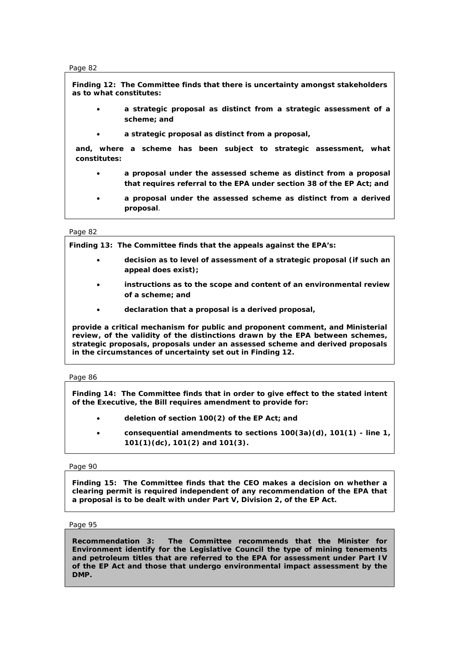**Finding 12: The Committee finds that there is uncertainty amongst stakeholders as to what constitutes:** 

- **a strategic proposal as distinct from a strategic assessment of a scheme; and**
- **a strategic proposal as distinct from a proposal,**

**and, where a scheme has been subject to strategic assessment, what constitutes:** 

- **a proposal under the assessed scheme as distinct from a proposal that requires referral to the EPA under section 38 of the EP Act; and**
- **a proposal under the assessed scheme as distinct from a derived proposal**.

# Page 82

**Finding 13: The Committee finds that the appeals against the EPA's:** 

- **decision as to level of assessment of a strategic proposal (if such an appeal does exist);**
- **instructions as to the scope and content of an environmental review of a scheme; and**
- **declaration that a proposal is a derived proposal,**

**provide a critical mechanism for public and proponent comment, and Ministerial review, of the validity of the distinctions drawn by the EPA between schemes, strategic proposals, proposals under an assessed scheme and derived proposals in the circumstances of uncertainty set out in Finding 12.** 

# Page 86

**Finding 14: The Committee finds that in order to give effect to the stated intent of the Executive, the Bill requires amendment to provide for:** 

- **deletion of section 100(2) of the EP Act; and**
- **consequential amendments to sections 100(3a)(d), 101(1) line 1, 101(1)(dc), 101(2) and 101(3).**

# Page 90

**Finding 15: The Committee finds that the CEO makes a decision on whether a clearing permit is required independent of any recommendation of the EPA that a proposal is to be dealt with under Part V, Division 2, of the EP Act.** 

Page 95

**Recommendation 3: The Committee recommends that the Minister for Environment identify for the Legislative Council the type of mining tenements and petroleum titles that are referred to the EPA for assessment under Part IV of the EP Act and those that undergo environmental impact assessment by the DMP.**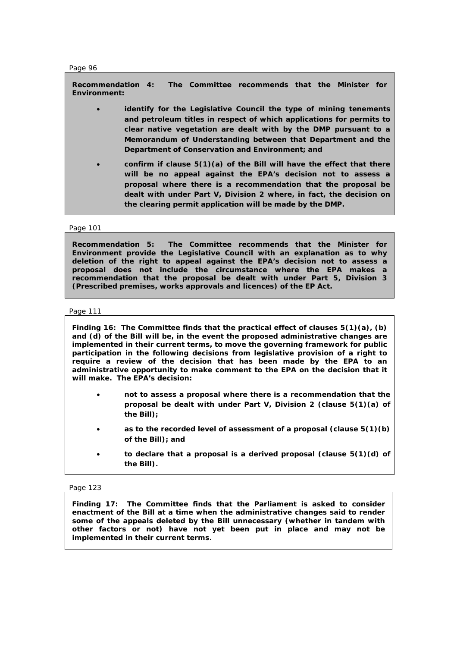**Recommendation 4: The Committee recommends that the Minister for Environment:** 

- **identify for the Legislative Council the type of mining tenements and petroleum titles in respect of which applications for permits to clear native vegetation are dealt with by the DMP pursuant to a Memorandum of Understanding between that Department and the Department of Conservation and Environment; and**
- **confirm if clause 5(1)(a) of the Bill will have the effect that there will be no appeal against the EPA's decision not to assess a proposal where there is a recommendation that the proposal be dealt with under Part V, Division 2 where, in fact, the decision on the clearing permit application will be made by the DMP.**

# Page 101

**Recommendation 5: The Committee recommends that the Minister for Environment provide the Legislative Council with an explanation as to why deletion of the right to appeal against the EPA's decision not to assess a proposal does not include the circumstance where the EPA makes a recommendation that the proposal be dealt with under Part 5, Division 3 (***Prescribed premises, works approvals and licences***) of the EP Act.** 

# Page 111

**Finding 16: The Committee finds that the practical effect of clauses 5(1)(a), (b) and (d) of the Bill will be, in the event the proposed administrative changes are implemented in their current terms, to move the governing framework for public participation in the following decisions from legislative provision of a right to require a review of the decision that has been made by the EPA to an administrative opportunity to make comment to the EPA on the decision that it will make. The EPA's decision:** 

- **not to assess a proposal where there is a recommendation that the proposal be dealt with under Part V, Division 2 (clause 5(1)(a) of the Bill);**
- **as to the recorded level of assessment of a proposal (clause 5(1)(b) of the Bill); and**
- **to declare that a proposal is a derived proposal (clause 5(1)(d) of the Bill).**

# Page 123

**Finding 17: The Committee finds that the Parliament is asked to consider enactment of the Bill at a time when the administrative changes said to render some of the appeals deleted by the Bill unnecessary (whether in tandem with other factors or not) have not yet been put in place and may not be implemented in their current terms.**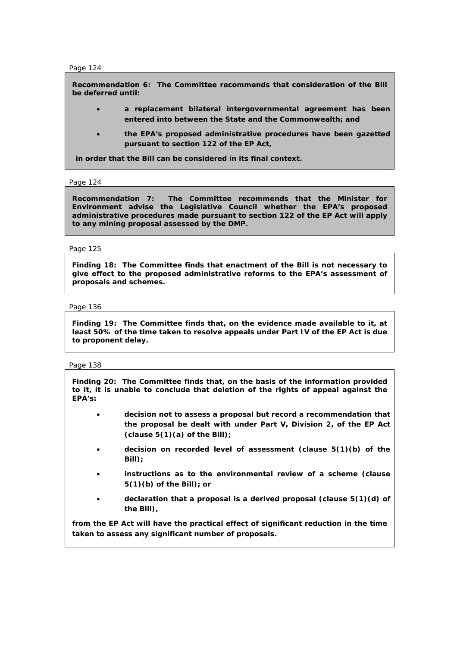**Recommendation 6: The Committee recommends that consideration of the Bill be deferred until:** 

- **a replacement bilateral intergovernmental agreement has been entered into between the State and the Commonwealth; and**
- **the EPA's proposed administrative procedures have been gazetted pursuant to section 122 of the EP Act,**

**in order that the Bill can be considered in its final context.**

# Page 124

**Recommendation 7: The Committee recommends that the Minister for Environment advise the Legislative Council whether the EPA's proposed administrative procedures made pursuant to section 122 of the EP Act will apply to any mining proposal assessed by the DMP.** 

# Page 125

**Finding 18: The Committee finds that enactment of the Bill is not necessary to give effect to the proposed administrative reforms to the EPA's assessment of proposals and schemes.** 

# Page 136

**Finding 19: The Committee finds that, on the evidence made available to it, at least 50% of the time taken to resolve appeals under Part IV of the EP Act is due to proponent delay.** 

# Page 138

**Finding 20: The Committee finds that, on the basis of the information provided to it, it is unable to conclude that deletion of the rights of appeal against the EPA's:** 

- **decision not to assess a proposal but record a recommendation that the proposal be dealt with under Part V, Division 2, of the EP Act (clause 5(1)(a) of the Bill);**
- **decision on recorded level of assessment (clause 5(1)(b) of the Bill);**
- **instructions as to the environmental review of a scheme (clause 5(1)(b) of the Bill); or**
- **declaration that a proposal is a derived proposal (clause 5(1)(d) of the Bill),**

**from the EP Act will have the practical effect of significant reduction in the time taken to assess any significant number of proposals.**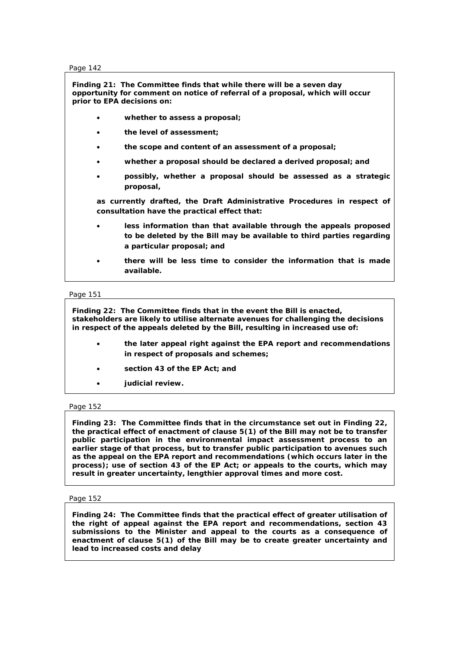**Finding 21: The Committee finds that while there will be a seven day opportunity for comment on notice of referral of a proposal, which will occur prior to EPA decisions on:** 

- **whether to assess a proposal;**
- **the level of assessment;**
- **the scope and content of an assessment of a proposal;**
- **whether a proposal should be declared a derived proposal; and**
- **possibly, whether a proposal should be assessed as a strategic proposal,**

**as currently drafted, the Draft Administrative Procedures in respect of consultation have the practical effect that:** 

- **less information than that available through the appeals proposed to be deleted by the Bill may be available to third parties regarding a particular proposal; and**
- **there will be less time to consider the information that is made available.**

# Page 151

**Finding 22: The Committee finds that in the event the Bill is enacted, stakeholders are likely to utilise alternate avenues for challenging the decisions in respect of the appeals deleted by the Bill, resulting in increased use of:** 

- **the later appeal right against the EPA report and recommendations in respect of proposals and schemes;**
- **section 43 of the EP Act; and**
- **judicial review.**

# Page 152

**Finding 23: The Committee finds that in the circumstance set out in Finding 22, the practical effect of enactment of clause 5(1) of the Bill may not be to transfer public participation in the environmental impact assessment process to an earlier stage of that process, but to transfer public participation to avenues such as the appeal on the EPA report and recommendations (which occurs later in the process); use of section 43 of the EP Act; or appeals to the courts, which may result in greater uncertainty, lengthier approval times and more cost.** 

# Page 152

**Finding 24: The Committee finds that the practical effect of greater utilisation of the right of appeal against the EPA report and recommendations, section 43 submissions to the Minister and appeal to the courts as a consequence of enactment of clause 5(1) of the Bill may be to create greater uncertainty and lead to increased costs and delay**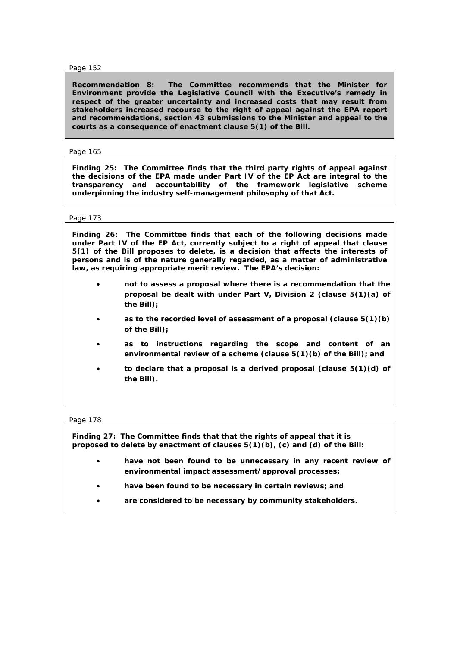**Recommendation 8: The Committee recommends that the Minister for Environment provide the Legislative Council with the Executive's remedy in respect of the greater uncertainty and increased costs that may result from stakeholders increased recourse to the right of appeal against the EPA report and recommendations, section 43 submissions to the Minister and appeal to the courts as a consequence of enactment clause 5(1) of the Bill.** 

### Page 165

**Finding 25: The Committee finds that the third party rights of appeal against the decisions of the EPA made under Part IV of the EP Act are integral to the transparency and accountability of the framework legislative scheme underpinning the industry self-management philosophy of that Act.** 

### Page 173

**Finding 26: The Committee finds that each of the following decisions made under Part IV of the EP Act, currently subject to a right of appeal that clause 5(1) of the Bill proposes to delete, is a decision that affects the interests of persons and is of the nature generally regarded, as a matter of administrative law, as requiring appropriate merit review. The EPA's decision:** 

- **not to assess a proposal where there is a recommendation that the proposal be dealt with under Part V, Division 2 (clause 5(1)(a) of the Bill);**
- **as to the recorded level of assessment of a proposal (clause 5(1)(b) of the Bill);**
- **as to instructions regarding the scope and content of an environmental review of a scheme (clause 5(1)(b) of the Bill); and**
- **to declare that a proposal is a derived proposal (clause 5(1)(d) of the Bill).**

Page 178

**Finding 27: The Committee finds that that the rights of appeal that it is proposed to delete by enactment of clauses 5(1)(b), (c) and (d) of the Bill:**  • **have not been found to be unnecessary in any recent review of environmental impact assessment/approval processes;**  • **have been found to be necessary in certain reviews; and**  • **are considered to be necessary by community stakeholders.**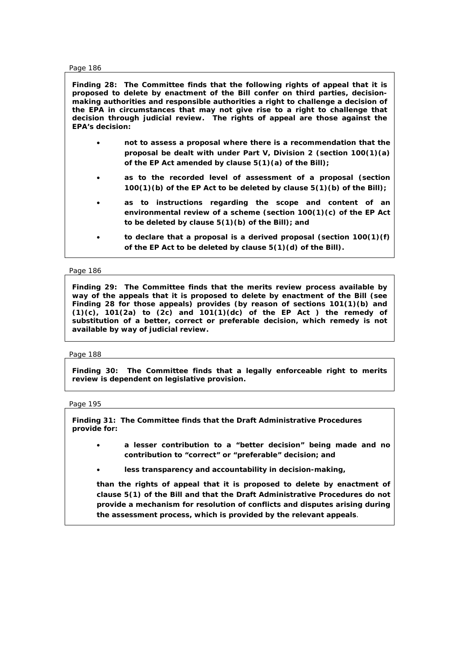**Finding 28: The Committee finds that the following rights of appeal that it is proposed to delete by enactment of the Bill confer on third parties, decisionmaking authorities and responsible authorities a right to challenge a decision of the EPA in circumstances that may not give rise to a right to challenge that decision through judicial review. The rights of appeal are those against the EPA's decision:** 

- **not to assess a proposal where there is a recommendation that the proposal be dealt with under Part V, Division 2 (section 100(1)(a) of the EP Act amended by clause 5(1)(a) of the Bill);**
- **as to the recorded level of assessment of a proposal (section 100(1)(b) of the EP Act to be deleted by clause 5(1)(b) of the Bill);**
- **as to instructions regarding the scope and content of an environmental review of a scheme (section 100(1)(c) of the EP Act to be deleted by clause 5(1)(b) of the Bill); and**
- **to declare that a proposal is a derived proposal (section 100(1)(f) of the EP Act to be deleted by clause 5(1)(d) of the Bill).**

Page 186

**Finding 29: The Committee finds that the merits review process available by way of the appeals that it is proposed to delete by enactment of the Bill (see Finding 28 for those appeals) provides (by reason of sections 101(1)(b) and (1)(c), 101(2a) to (2c) and 101(1)(dc) of the EP Act ) the remedy of substitution of a better, correct or preferable decision, which remedy is not available by way of judicial review.** 

# Page 188

**Finding 30: The Committee finds that a legally enforceable right to merits review is dependent on legislative provision.** 

# Page 195

**Finding 31: The Committee finds that the Draft Administrative Procedures provide for:** 

- **a lesser contribution to a "***better decision***" being made and no contribution to "***correct***" or "***preferable***" decision; and**
- **less transparency and accountability in decision-making,**

**than the rights of appeal that it is proposed to delete by enactment of clause 5(1) of the Bill and that the Draft Administrative Procedures do not provide a mechanism for resolution of conflicts and disputes arising during the assessment process, which is provided by the relevant appeals**.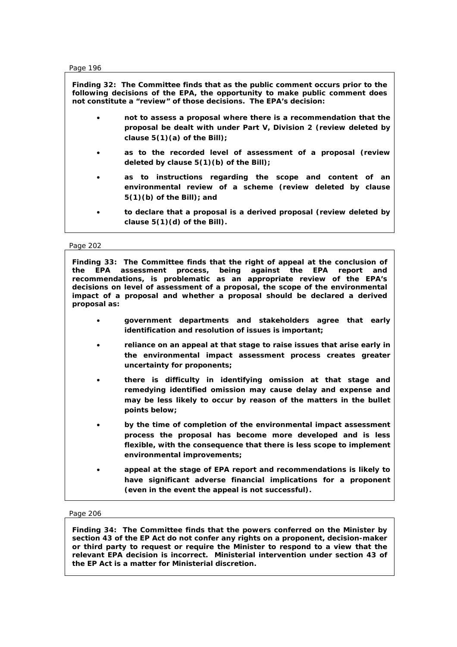**Finding 32: The Committee finds that as the public comment occurs prior to the following decisions of the EPA, the opportunity to make public comment does not constitute a "***review***" of those decisions. The EPA's decision:** 

- **not to assess a proposal where there is a recommendation that the proposal be dealt with under Part V, Division 2 (review deleted by clause 5(1)(a) of the Bill);**
- **as to the recorded level of assessment of a proposal (review deleted by clause 5(1)(b) of the Bill);**
- **as to instructions regarding the scope and content of an environmental review of a scheme (review deleted by clause 5(1)(b) of the Bill); and**
- **to declare that a proposal is a derived proposal (review deleted by clause 5(1)(d) of the Bill).**

Page 202

**Finding 33: The Committee finds that the right of appeal at the conclusion of the EPA assessment process, being against the EPA report and recommendations, is problematic as an appropriate review of the EPA's decisions on level of assessment of a proposal, the scope of the environmental impact of a proposal and whether a proposal should be declared a derived proposal as:** 

- **government departments and stakeholders agree that early identification and resolution of issues is important;**
- **reliance on an appeal at that stage to raise issues that arise early in the environmental impact assessment process creates greater uncertainty for proponents;**
- **there is difficulty in identifying omission at that stage and remedying identified omission may cause delay and expense and may be less likely to occur by reason of the matters in the bullet points below;**
- **by the time of completion of the environmental impact assessment process the proposal has become more developed and is less flexible, with the consequence that there is less scope to implement environmental improvements;**
- **appeal at the stage of EPA report and recommendations is likely to have significant adverse financial implications for a proponent (even in the event the appeal is not successful).**

# Page 206

**Finding 34: The Committee finds that the powers conferred on the Minister by section 43 of the EP Act do not confer any rights on a proponent, decision-maker or third party to request or require the Minister to respond to a view that the relevant EPA decision is incorrect. Ministerial intervention under section 43 of the EP Act is a matter for Ministerial discretion***.*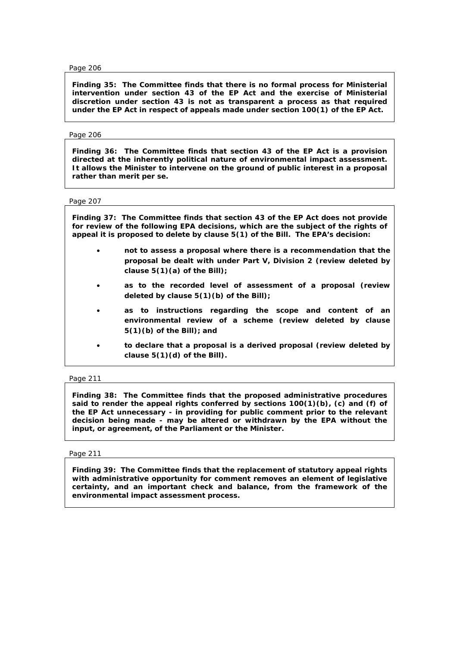**Finding 35: The Committee finds that there is no formal process for Ministerial intervention under section 43 of the EP Act and the exercise of Ministerial discretion under section 43 is not as transparent a process as that required under the EP Act in respect of appeals made under section 100(1) of the EP Act.** 

# Page 206

**Finding 36: The Committee finds that section 43 of the EP Act is a provision directed at the inherently political nature of environmental impact assessment. It allows the Minister to intervene on the ground of public interest in a proposal rather than merit** *per se***.** 

Page 207

**Finding 37: The Committee finds that section 43 of the EP Act does not provide for review of the following EPA decisions, which are the subject of the rights of appeal it is proposed to delete by clause 5(1) of the Bill. The EPA's decision:** 

- **not to assess a proposal where there is a recommendation that the proposal be dealt with under Part V, Division 2 (review deleted by clause 5(1)(a) of the Bill);**
- **as to the recorded level of assessment of a proposal (review deleted by clause 5(1)(b) of the Bill);**
- **as to instructions regarding the scope and content of an environmental review of a scheme (review deleted by clause 5(1)(b) of the Bill); and**
- **to declare that a proposal is a derived proposal (review deleted by clause 5(1)(d) of the Bill).**

# Page 211

**Finding 38: The Committee finds that the proposed administrative procedures said to render the appeal rights conferred by sections 100(1)(b), (c) and (f) of the EP Act unnecessary - in providing for public comment prior to the relevant decision being made - may be altered or withdrawn by the EPA without the input, or agreement, of the Parliament or the Minister.** 

# Page 211

**Finding 39: The Committee finds that the replacement of statutory appeal rights with administrative opportunity for comment removes an element of legislative certainty, and an important check and balance, from the framework of the environmental impact assessment process.**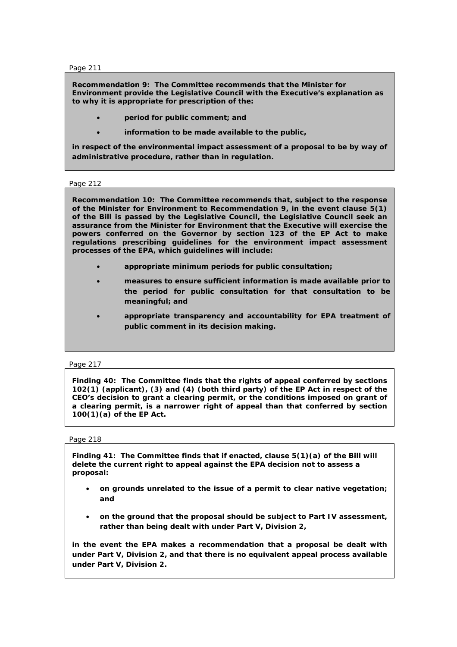**Recommendation 9: The Committee recommends that the Minister for Environment provide the Legislative Council with the Executive's explanation as to why it is appropriate for prescription of the:** 

- **period for public comment; and**
- **information to be made available to the public,**

**in respect of the environmental impact assessment of a proposal to be by way of administrative procedure, rather than in regulation.** 

### Page 212

**Recommendation 10: The Committee recommends that, subject to the response of the Minister for Environment to Recommendation 9, in the event clause 5(1) of the Bill is passed by the Legislative Council, the Legislative Council seek an assurance from the Minister for Environment that the Executive will exercise the powers conferred on the Governor by section 123 of the EP Act to make regulations prescribing guidelines for the environment impact assessment processes of the EPA, which guidelines will include:** 

- **appropriate minimum periods for public consultation;**
- **measures to ensure sufficient information is made available prior to the period for public consultation for that consultation to be meaningful; and**
- **appropriate transparency and accountability for EPA treatment of public comment in its decision making.**

Page 217

**Finding 40: The Committee finds that the rights of appeal conferred by sections 102(1) (applicant), (3) and (4) (both third party) of the EP Act in respect of the CEO's decision to grant a clearing permit, or the conditions imposed on grant of a clearing permit, is a narrower right of appeal than that conferred by section 100(1)(a) of the EP Act.** 

#### Page 218

**Finding 41: The Committee finds that if enacted, clause 5(1)(a) of the Bill will delete the current right to appeal against the EPA decision not to assess a proposal:** 

- **on grounds unrelated to the issue of a permit to clear native vegetation; and**
- **on the ground that the proposal should be subject to Part IV assessment, rather than being dealt with under Part V, Division 2,**

**in the event the EPA makes a recommendation that a proposal be dealt with under Part V, Division 2, and that there is no equivalent appeal process available under Part V, Division 2.**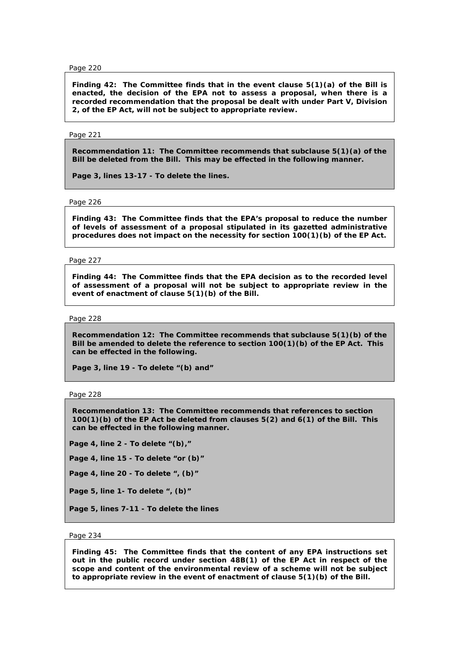**Finding 42: The Committee finds that in the event clause 5(1)(a) of the Bill is enacted, the decision of the EPA not to assess a proposal, when there is a recorded recommendation that the proposal be dealt with under Part V, Division 2, of the EP Act, will not be subject to appropriate review.** 

### Page 221

**Recommendation 11: The Committee recommends that subclause 5(1)(a) of the Bill be deleted from the Bill. This may be effected in the following manner.** 

**Page 3, lines 13-17 - To delete the lines.** 

Page 226

**Finding 43: The Committee finds that the EPA's proposal to reduce the number of levels of assessment of a proposal stipulated in its gazetted administrative procedures does not impact on the necessity for section 100(1)(b) of the EP Act.** 

Page 227

**Finding 44: The Committee finds that the EPA decision as to the recorded level of assessment of a proposal will not be subject to appropriate review in the event of enactment of clause 5(1)(b) of the Bill.** 

### Page 228

**Recommendation 12: The Committee recommends that subclause 5(1)(b) of the Bill be amended to delete the reference to section 100(1)(b) of the EP Act. This can be effected in the following.** 

**Page 3, line 19 - To delete "(b) and"** 

Page 228

**Recommendation 13: The Committee recommends that references to section 100(1)(b) of the EP Act be deleted from clauses 5(2) and 6(1) of the Bill. This can be effected in the following manner.** 

**Page 4, line 2 - To delete "(b),"** 

**Page 4, line 15 - To delete "or (b)"** 

**Page 4, line 20 - To delete ", (b)"** 

**Page 5, line 1- To delete ", (b)"** 

**Page 5, lines 7-11 - To delete the lines** 

#### Page 234

**Finding 45: The Committee finds that the content of any EPA instructions set out in the public record under section 48B(1) of the EP Act in respect of the scope and content of the environmental review of a scheme will not be subject to appropriate review in the event of enactment of clause 5(1)(b) of the Bill.**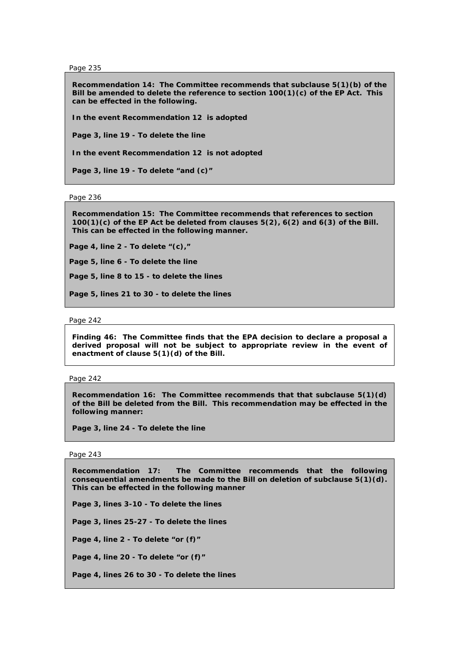**Recommendation 14: The Committee recommends that subclause 5(1)(b) of the Bill be amended to delete the reference to section 100(1)(c) of the EP Act. This can be effected in the following.** 

**In the event Recommendation 12 is adopted** 

**Page 3, line 19 - To delete the line** 

**In the event Recommendation 12 is not adopted** 

**Page 3, line 19 - To delete "and (c)"** 

Page 236

**Recommendation 15: The Committee recommends that references to section 100(1)(c) of the EP Act be deleted from clauses 5(2), 6(2) and 6(3) of the Bill. This can be effected in the following manner.** 

**Page 4, line 2 - To delete "(c),"** 

**Page 5, line 6 - To delete the line** 

**Page 5, line 8 to 15 - to delete the lines** 

**Page 5, lines 21 to 30 - to delete the lines** 

Page 242

**Finding 46: The Committee finds that the EPA decision to declare a proposal a derived proposal will not be subject to appropriate review in the event of enactment of clause 5(1)(d) of the Bill.** 

Page 242

**Recommendation 16: The Committee recommends that that subclause 5(1)(d) of the Bill be deleted from the Bill. This recommendation may be effected in the following manner:** 

**Page 3, line 24 - To delete the line** 

Page 243

**Recommendation 17: The Committee recommends that the following consequential amendments be made to the Bill on deletion of subclause 5(1)(d). This can be effected in the following manner** 

**Page 3, lines 3-10 - To delete the lines** 

**Page 3, lines 25-27 - To delete the lines** 

**Page 4, line 2 - To delete "or (f)"** 

**Page 4, line 20 - To delete "or (f)"** 

**Page 4, lines 26 to 30 - To delete the lines**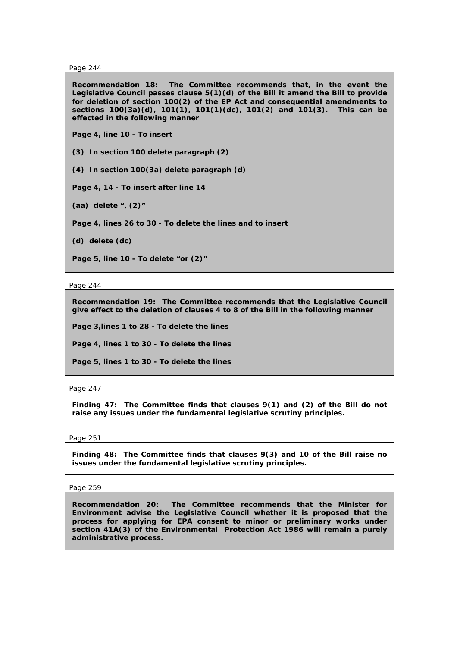**Recommendation 18: The Committee recommends that, in the event the Legislative Council passes clause 5(1)(d) of the Bill it amend the Bill to provide for deletion of section 100(2) of the EP Act and consequential amendments to sections 100(3a)(d), 101(1), 101(1)(dc), 101(2) and 101(3). This can be effected in the following manner** 

**Page 4, line 10 - To insert** 

**(3) In section 100 delete paragraph (2)** 

**(4) In section 100(3a) delete paragraph (d)** 

**Page 4, 14 - To insert after line 14** 

**(aa) delete ", (2)"** 

**Page 4, lines 26 to 30 - To delete the lines and to insert** 

**(d) delete (dc)** 

**Page 5, line 10 - To delete "or (2)"** 

Page 244

**Recommendation 19: The Committee recommends that the Legislative Council give effect to the deletion of clauses 4 to 8 of the Bill in the following manner** 

**Page 3,lines 1 to 28 - To delete the lines** 

**Page 4, lines 1 to 30 - To delete the lines** 

**Page 5, lines 1 to 30 - To delete the lines** 

Page 247

**Finding 47: The Committee finds that clauses 9(1) and (2) of the Bill do not raise any issues under the fundamental legislative scrutiny principles.** 

# Page 251

**Finding 48: The Committee finds that clauses 9(3) and 10 of the Bill raise no issues under the fundamental legislative scrutiny principles.** 

Page 259

**Recommendation 20: The Committee recommends that the Minister for Environment advise the Legislative Council whether it is proposed that the process for applying for EPA consent to minor or preliminary works under section 41A(3) of the** *Environmental Protection Act 1986* **will remain a purely administrative process.**